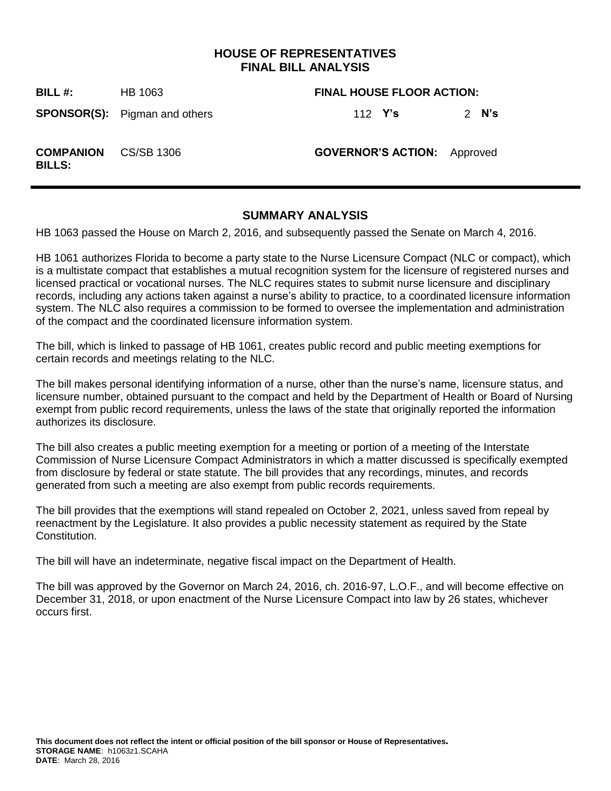# **HOUSE OF REPRESENTATIVES FINAL BILL ANALYSIS**

**BILL #:** HB 1063 **FINAL HOUSE FLOOR ACTION:**

**SPONSOR(S):** Pigman and others 112 **Y's** 2 **N's**

**COMPANION** 

**BILLS:**

**GOVERNOR'S ACTION:** Approved

# **SUMMARY ANALYSIS**

HB 1063 passed the House on March 2, 2016, and subsequently passed the Senate on March 4, 2016.

HB 1061 authorizes Florida to become a party state to the Nurse Licensure Compact (NLC or compact), which is a multistate compact that establishes a mutual recognition system for the licensure of registered nurses and licensed practical or vocational nurses. The NLC requires states to submit nurse licensure and disciplinary records, including any actions taken against a nurse's ability to practice, to a coordinated licensure information system. The NLC also requires a commission to be formed to oversee the implementation and administration of the compact and the coordinated licensure information system.

The bill, which is linked to passage of HB 1061, creates public record and public meeting exemptions for certain records and meetings relating to the NLC.

The bill makes personal identifying information of a nurse, other than the nurse's name, licensure status, and licensure number, obtained pursuant to the compact and held by the Department of Health or Board of Nursing exempt from public record requirements, unless the laws of the state that originally reported the information authorizes its disclosure.

The bill also creates a public meeting exemption for a meeting or portion of a meeting of the Interstate Commission of Nurse Licensure Compact Administrators in which a matter discussed is specifically exempted from disclosure by federal or state statute. The bill provides that any recordings, minutes, and records generated from such a meeting are also exempt from public records requirements.

The bill provides that the exemptions will stand repealed on October 2, 2021, unless saved from repeal by reenactment by the Legislature. It also provides a public necessity statement as required by the State Constitution.

The bill will have an indeterminate, negative fiscal impact on the Department of Health.

The bill was approved by the Governor on March 24, 2016, ch. 2016-97, L.O.F., and will become effective on December 31, 2018, or upon enactment of the Nurse Licensure Compact into law by 26 states, whichever occurs first.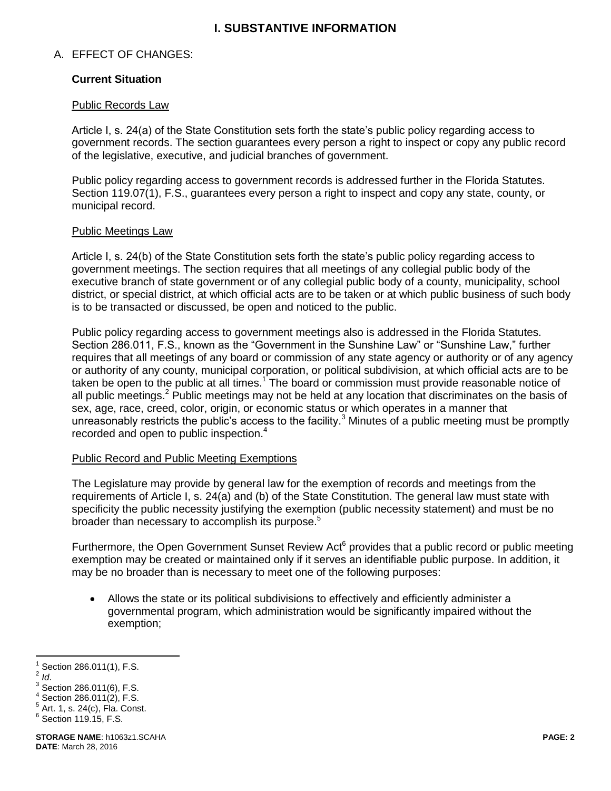# **I. SUBSTANTIVE INFORMATION**

## A. EFFECT OF CHANGES:

### **Current Situation**

#### Public Records Law

Article I, s. 24(a) of the State Constitution sets forth the state's public policy regarding access to government records. The section guarantees every person a right to inspect or copy any public record of the legislative, executive, and judicial branches of government.

Public policy regarding access to government records is addressed further in the Florida Statutes. Section 119.07(1), F.S., guarantees every person a right to inspect and copy any state, county, or municipal record.

#### Public Meetings Law

Article I, s. 24(b) of the State Constitution sets forth the state's public policy regarding access to government meetings. The section requires that all meetings of any collegial public body of the executive branch of state government or of any collegial public body of a county, municipality, school district, or special district, at which official acts are to be taken or at which public business of such body is to be transacted or discussed, be open and noticed to the public.

Public policy regarding access to government meetings also is addressed in the Florida Statutes. Section 286.011, F.S., known as the "Government in the Sunshine Law" or "Sunshine Law," further requires that all meetings of any board or commission of any state agency or authority or of any agency or authority of any county, municipal corporation, or political subdivision, at which official acts are to be taken be open to the public at all times.<sup>1</sup> The board or commission must provide reasonable notice of all public meetings.<sup>2</sup> Public meetings may not be held at any location that discriminates on the basis of sex, age, race, creed, color, origin, or economic status or which operates in a manner that unreasonably restricts the public's access to the facility.<sup>3</sup> Minutes of a public meeting must be promptly recorded and open to public inspection. $4$ 

#### Public Record and Public Meeting Exemptions

The Legislature may provide by general law for the exemption of records and meetings from the requirements of Article I, s. 24(a) and (b) of the State Constitution. The general law must state with specificity the public necessity justifying the exemption (public necessity statement) and must be no broader than necessary to accomplish its purpose.<sup>5</sup>

Furthermore, the Open Government Sunset Review Act<sup>6</sup> provides that a public record or public meeting exemption may be created or maintained only if it serves an identifiable public purpose. In addition, it may be no broader than is necessary to meet one of the following purposes:

 Allows the state or its political subdivisions to effectively and efficiently administer a governmental program, which administration would be significantly impaired without the exemption;

 1 Section 286.011(1), F.S.

<sup>2</sup> *Id*.

 $3$  Section 286.011(6), F.S.

 $4$  Section 286.011(2), F.S.

 $5$  Art. 1, s. 24(c), Fla. Const.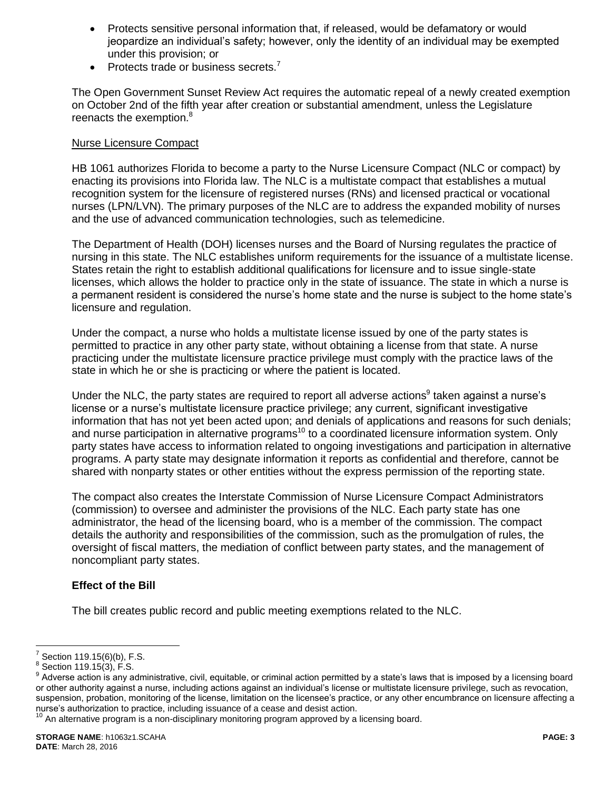- Protects sensitive personal information that, if released, would be defamatory or would jeopardize an individual's safety; however, only the identity of an individual may be exempted under this provision; or
- Protects trade or business secrets. $<sup>7</sup>$ </sup>

The Open Government Sunset Review Act requires the automatic repeal of a newly created exemption on October 2nd of the fifth year after creation or substantial amendment, unless the Legislature reenacts the exemption.<sup>8</sup>

## Nurse Licensure Compact

HB 1061 authorizes Florida to become a party to the Nurse Licensure Compact (NLC or compact) by enacting its provisions into Florida law. The NLC is a multistate compact that establishes a mutual recognition system for the licensure of registered nurses (RNs) and licensed practical or vocational nurses (LPN/LVN). The primary purposes of the NLC are to address the expanded mobility of nurses and the use of advanced communication technologies, such as telemedicine.

The Department of Health (DOH) licenses nurses and the Board of Nursing regulates the practice of nursing in this state. The NLC establishes uniform requirements for the issuance of a multistate license. States retain the right to establish additional qualifications for licensure and to issue single-state licenses, which allows the holder to practice only in the state of issuance. The state in which a nurse is a permanent resident is considered the nurse's home state and the nurse is subject to the home state's licensure and regulation.

Under the compact, a nurse who holds a multistate license issued by one of the party states is permitted to practice in any other party state, without obtaining a license from that state. A nurse practicing under the multistate licensure practice privilege must comply with the practice laws of the state in which he or she is practicing or where the patient is located.

Under the NLC, the party states are required to report all adverse actions<sup>9</sup> taken against a nurse's license or a nurse's multistate licensure practice privilege; any current, significant investigative information that has not yet been acted upon; and denials of applications and reasons for such denials; and nurse participation in alternative programs<sup>10</sup> to a coordinated licensure information system. Only party states have access to information related to ongoing investigations and participation in alternative programs. A party state may designate information it reports as confidential and therefore, cannot be shared with nonparty states or other entities without the express permission of the reporting state.

The compact also creates the Interstate Commission of Nurse Licensure Compact Administrators (commission) to oversee and administer the provisions of the NLC. Each party state has one administrator, the head of the licensing board, who is a member of the commission. The compact details the authority and responsibilities of the commission, such as the promulgation of rules, the oversight of fiscal matters, the mediation of conflict between party states, and the management of noncompliant party states.

# **Effect of the Bill**

The bill creates public record and public meeting exemptions related to the NLC.

 7 Section 119.15(6)(b), F.S.

 $^8$  Section 119.15(3), F.S.

 $9$  Adverse action is any administrative, civil, equitable, or criminal action permitted by a state's laws that is imposed by a licensing board or other authority against a nurse, including actions against an individual's license or multistate licensure privilege, such as revocation, suspension, probation, monitoring of the license, limitation on the licensee's practice, or any other encumbrance on licensure affecting a nurse's authorization to practice, including issuance of a cease and desist action.

 $10$  An alternative program is a non-disciplinary monitoring program approved by a licensing board.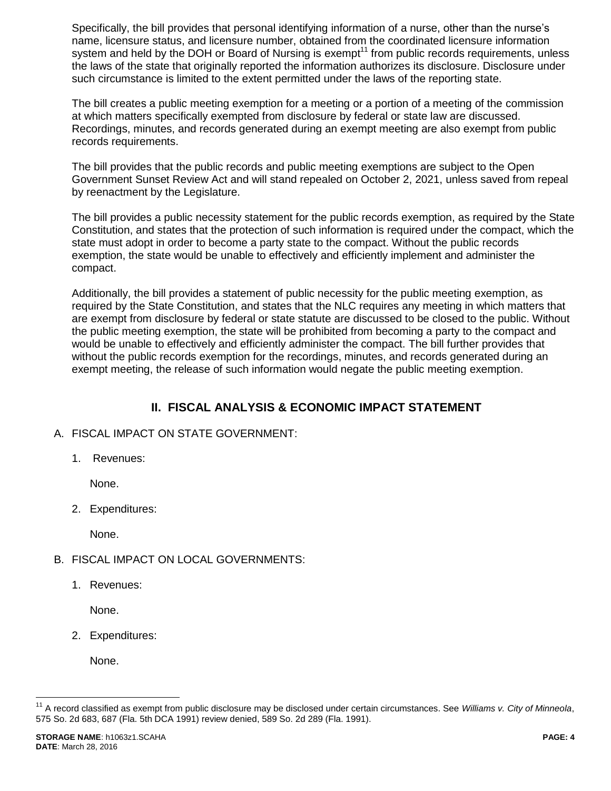Specifically, the bill provides that personal identifying information of a nurse, other than the nurse's name, licensure status, and licensure number, obtained from the coordinated licensure information system and held by the DOH or Board of Nursing is exempt<sup>11</sup> from public records requirements, unless the laws of the state that originally reported the information authorizes its disclosure. Disclosure under such circumstance is limited to the extent permitted under the laws of the reporting state.

The bill creates a public meeting exemption for a meeting or a portion of a meeting of the commission at which matters specifically exempted from disclosure by federal or state law are discussed. Recordings, minutes, and records generated during an exempt meeting are also exempt from public records requirements.

The bill provides that the public records and public meeting exemptions are subject to the Open Government Sunset Review Act and will stand repealed on October 2, 2021, unless saved from repeal by reenactment by the Legislature.

The bill provides a public necessity statement for the public records exemption, as required by the State Constitution, and states that the protection of such information is required under the compact, which the state must adopt in order to become a party state to the compact. Without the public records exemption, the state would be unable to effectively and efficiently implement and administer the compact.

Additionally, the bill provides a statement of public necessity for the public meeting exemption, as required by the State Constitution, and states that the NLC requires any meeting in which matters that are exempt from disclosure by federal or state statute are discussed to be closed to the public. Without the public meeting exemption, the state will be prohibited from becoming a party to the compact and would be unable to effectively and efficiently administer the compact. The bill further provides that without the public records exemption for the recordings, minutes, and records generated during an exempt meeting, the release of such information would negate the public meeting exemption.

# **II. FISCAL ANALYSIS & ECONOMIC IMPACT STATEMENT**

# A. FISCAL IMPACT ON STATE GOVERNMENT:

1. Revenues:

None.

2. Expenditures:

None.

- B. FISCAL IMPACT ON LOCAL GOVERNMENTS:
	- 1. Revenues:

None.

2. Expenditures:

None.

 $\overline{a}$ 

<sup>&</sup>lt;sup>11</sup> A record classified as exempt from public disclosure may be disclosed under certain circumstances. See Williams v. City of Minneola, 575 So. 2d 683, 687 (Fla. 5th DCA 1991) review denied, 589 So. 2d 289 (Fla. 1991).